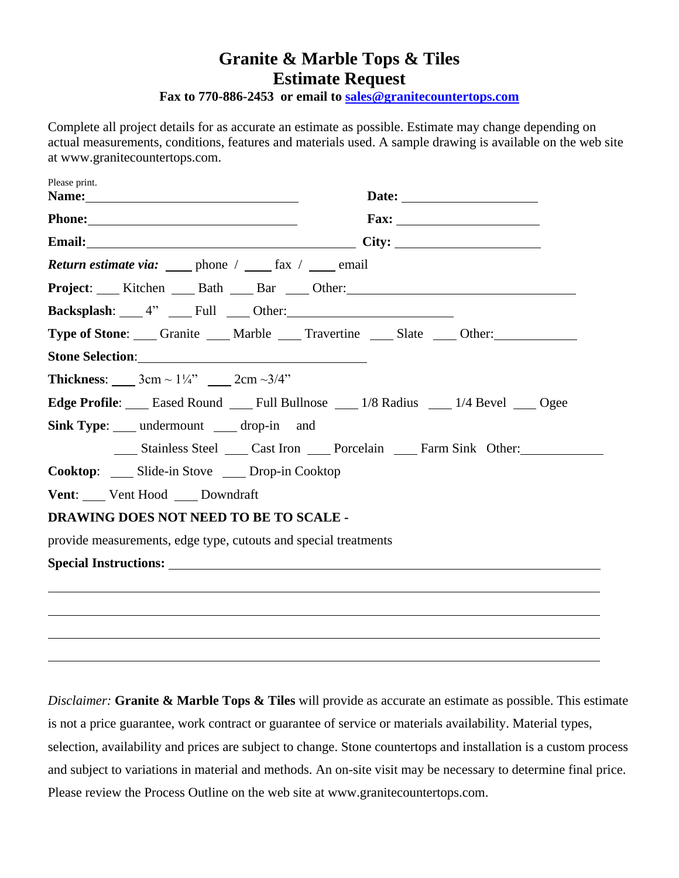## **Granite & Marble Tops & Tiles Estimate Request**

**Fax to 770-886-2453 or email to [sales@granitecountertops.com](mailto:sales@granitecountertops.com)**

Complete all project details for as accurate an estimate as possible. Estimate may change depending on actual measurements, conditions, features and materials used. A sample drawing is available on the web site at www.granitecountertops.com.

| Please print.                                                                     |
|-----------------------------------------------------------------------------------|
|                                                                                   |
| Email: City: City:                                                                |
| <b>Return estimate via:</b> phone / _____ fax / _____ email                       |
| Project: ___ Kitchen ____ Bath ____ Bar ____ Other: _____________________________ |
| <b>Backsplash:</b> $4$ <sup>"</sup> $\qquad$ Full $\qquad$ Other:                 |
| <b>Type of Stone:</b> Granite Marble Travertine Slate Other:                      |
|                                                                                   |
| <b>Thickness:</b> $3cm \sim 1\frac{1}{4}$ $2cm \sim 3/4$ "                        |
| <b>Edge Profile:</b> Eased Round Full Bullnose 1/8 Radius 1/4 Bevel 9 Ogee        |
| <b>Sink Type:</b> ____ undermount ____ drop-in and                                |
| Stainless Steel Cast Iron Porcelain Farm Sink Other:                              |
| Cooktop: Slide-in Stove Drop-in Cooktop                                           |
| <b>Vent:</b> Vent Hood Downdraft                                                  |
| DRAWING DOES NOT NEED TO BE TO SCALE -                                            |
| provide measurements, edge type, cutouts and special treatments                   |
|                                                                                   |
|                                                                                   |
|                                                                                   |
|                                                                                   |

*Disclaimer:* **Granite & Marble Tops & Tiles** will provide as accurate an estimate as possible. This estimate is not a price guarantee, work contract or guarantee of service or materials availability. Material types, selection, availability and prices are subject to change. Stone countertops and installation is a custom process and subject to variations in material and methods. An on-site visit may be necessary to determine final price. Please review the Process Outline on the web site at www.granitecountertops.com.

 $\overline{a}$